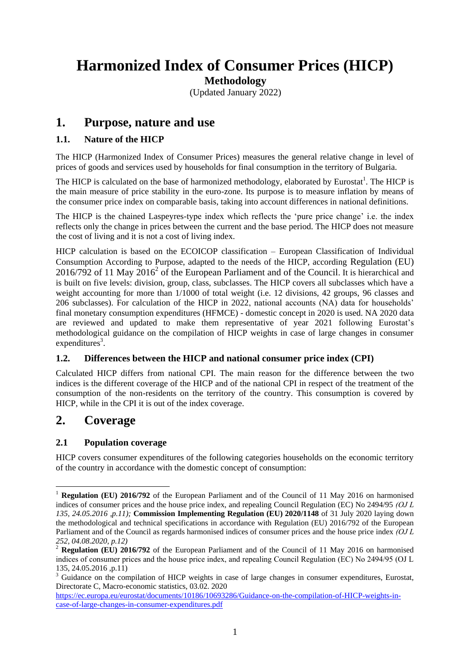# **Harmonized Index of Consumer Prices (HICP)**

**Methodology**

(Updated January 2022)

# **1. Purpose, nature and use**

# **1.1. Nature of the HICP**

The HICP (Harmonized Index of Consumer Prices) measures the general relative change in level of prices of goods and services used by households for final consumption in the territory of Bulgaria.

The HICP is calculated on the base of harmonized methodology, elaborated by Eurostat<sup>1</sup>. The HICP is the main measure of price stability in the euro-zone. Its purpose is to measure inflation by means of the consumer price index on comparable basis, taking into account differences in national definitions.

The HICP is the chained Laspeyres-type index which reflects the 'pure price change' i.e. the index reflects only the change in prices between the current and the base period. The HICP does not measure the cost of living and it is not a cost of living index.

HICP calculation is based on the ECOICOP classification – European Classification of Individual Consumption According to Purpose, adapted to the needs of the HICP, according Regulation (EU)  $2016/792$  of 11 May  $2016<sup>2</sup>$  of the European Parliament and of the Council. It is hierarchical and is built on five levels: division, group, class, subclasses. The HICP covers all subclasses which have a weight accounting for more than 1/1000 of total weight (i.e. 12 divisions, 42 groups, 96 classes and 206 subclasses). For calculation of the HICP in 2022, national accounts (NA) data for households' final monetary consumption expenditures (HFMCE) - domestic concept in 2020 is used. NA 2020 data are reviewed and updated to make them representative of year 2021 following Eurostat's methodological guidance on the compilation of HICP weights in case of large changes in consumer  $expenditures<sup>3</sup>$ .

## **1.2. Differences between the HICP and national consumer price index (CPI)**

Calculated HICP differs from national CPI. The main reason for the difference between the two indices is the different coverage of the HICP and of the national CPI in respect of the treatment of the consumption of the non-residents on the territory of the country. This consumption is covered by HICP, while in the CPI it is out of the index coverage.

# **2. Coverage**

<u>.</u>

## **2.1 Population coverage**

HICP covers consumer expenditures of the following categories households on the economic territory of the country in accordance with the domestic concept of consumption:

<sup>1</sup> **Regulation (EU) 2016/792** of the European Parliament and of the Council of 11 May 2016 on harmonised indices of consumer prices and the house price index, and repealing Council Regulation (EC) No 2494/95 *(ОJ L 135, 24.05.2016 ,p.11);* **Commission Implementing Regulation (EU) 2020/1148** of 31 July 2020 laying down the methodological and technical specifications in accordance with Regulation (EU) 2016/792 of the European Parliament and of the Council as regards harmonised indices of consumer prices and the house price index *(ОJ L 252, 04.08.2020, p.12)*

<sup>&</sup>lt;sup>2</sup> **Regulation (EU) 2016/792** of the European Parliament and of the Council of 11 May 2016 on harmonised indices of consumer prices and the house price index, and repealing Council Regulation (EC) No 2494/95 (ОJ L 135, 24.05.2016 ,p.11)

<sup>&</sup>lt;sup>3</sup> Guidance on the compilation of HICP weights in case of large changes in consumer expenditures, Eurostat, Directorate C, Macro-economic statistics, 03.02. 2020

[https://ec.europa.eu/eurostat/documents/10186/10693286/Guidance-on-the-compilation-of-HICP-weights-in](https://ec.europa.eu/eurostat/documents/10186/10693286/Guidance-on-the-compilation-of-HICP-weights-in-case-of-large-changes-in-consumer-expenditures.pdf)[case-of-large-changes-in-consumer-expenditures.pdf](https://ec.europa.eu/eurostat/documents/10186/10693286/Guidance-on-the-compilation-of-HICP-weights-in-case-of-large-changes-in-consumer-expenditures.pdf)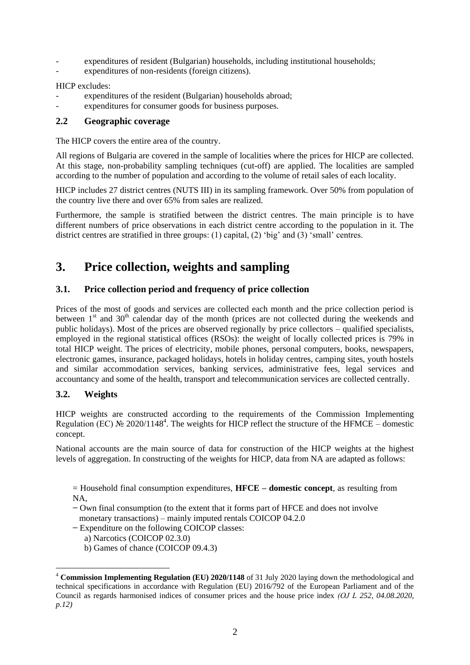- expenditures of resident (Bulgarian) households, including institutional households;
- expenditures of non-residents (foreign citizens).

HICP excludes:

- expenditures of the resident (Bulgarian) households abroad;
- expenditures for consumer goods for business purposes.

#### **2.2 Geographic coverage**

The HICP covers the entire area of the country.

All regions of Bulgaria are covered in the sample of localities where the prices for HICP are collected. At this stage, non-probability sampling techniques (cut-off) are applied. The localities are sampled according to the number of population and according to the volume of retail sales of each locality.

HICP includes 27 district centres (NUTS III) in its sampling framework. Over 50% from population of the country live there and over 65% from sales are realized.

Furthermore, the sample is stratified between the district centres. The main principle is to have different numbers of price observations in each district centre according to the population in it. The district centres are stratified in three groups: (1) capital, (2) 'big' and (3) 'small' centres.

# **3. Price collection, weights and sampling**

### **3.1. Price collection period and frequency of price collection**

Prices of the most of goods and services are collected each month and the price collection period is between  $1<sup>st</sup>$  and  $30<sup>th</sup>$  calendar day of the month (prices are not collected during the weekends and public holidays). Most of the prices are observed regionally by price collectors – qualified specialists, employed in the regional statistical offices (RSOs): the weight of locally collected prices is 79% in total HICP weight. The prices of electricity, mobile phones, personal computers, books, newspapers, electronic games, insurance, packaged holidays, hotels in holiday centres, camping sites, youth hostels and similar accommodation services, banking services, administrative fees, legal services and accountancy and some of the health, transport and telecommunication services are collected centrally.

### **3.2. Weights**

<u>.</u>

HICP weights are constructed according to the requirements of the Commission Implementing Regulation (EC)  $\mathcal{N}$  2020/1148<sup>4</sup>. The weights for HICP reflect the structure of the HFMCE – domestic concept.

National accounts are the main source of data for construction of the HICP weights at the highest levels of aggregation. In constructing of the weights for HICP, data from NA are adapted as follows:

= Household final consumption expenditures, **HFCE – domestic concept**, as resulting from NA,

**−** Own final consumption (to the extent that it forms part of HFCE and does not involve monetary transactions) – mainly imputed rentals COICOP 04.2.0

**−** Expenditure on the following COICOP classes:

a) Narcotics (COICOP 02.3.0)

b) Games of chance (COICOP 09.4.3)

<sup>4</sup> **Commission Implementing Regulation (EU) 2020/1148** of 31 July 2020 laying down the methodological and technical specifications in accordance with Regulation (EU) 2016/792 of the European Parliament and of the Council as regards harmonised indices of consumer prices and the house price index *(ОJ L 252, 04.08.2020, p.12)*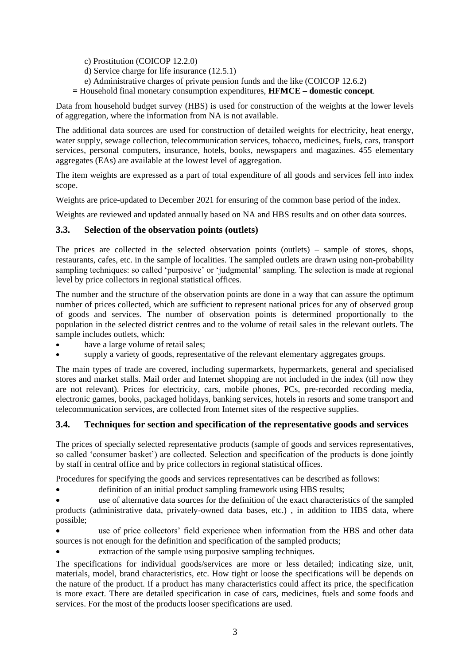- c) Prostitution (COICOP 12.2.0)
- d) Service charge for life insurance (12.5.1)
- e) Administrative charges of private pension funds and the like (COICOP 12.6.2)

**=** Household final monetary consumption expenditures, **HFMCE – domestic concept**.

Data from household budget survey (HBS) is used for construction of the weights at the lower levels of aggregation, where the information from NA is not available.

The additional data sources are used for construction of detailed weights for electricity, heat energy, water supply, sewage collection, telecommunication services, tobacco, medicines, fuels, cars, transport services, personal computers, insurance, hotels, books, newspapers and magazines. 455 elementary aggregates (EAs) are available at the lowest level of aggregation.

The item weights are expressed as a part of total expenditure of all goods and services fell into index scope.

Weights are price-updated to December 2021 for ensuring of the common base period of the index.

Weights are reviewed and updated annually based on NA and HBS results and on other data sources.

### **3.3. Selection of the observation points (outlets)**

The prices are collected in the selected observation points (outlets) – sample of stores, shops, restaurants, cafes, etc. in the sample of localities. The sampled outlets are drawn using non-probability sampling techniques: so called 'purposive' or 'judgmental' sampling. The selection is made at regional level by price collectors in regional statistical offices.

The number and the structure of the observation points are done in a way that can assure the optimum number of prices collected, which are sufficient to represent national prices for any of observed group of goods and services. The number of observation points is determined proportionally to the population in the selected district centres and to the volume of retail sales in the relevant outlets. The sample includes outlets, which:

- have a large volume of retail sales;
- supply a variety of goods, representative of the relevant elementary aggregates groups.

The main types of trade are covered, including supermarkets, hypermarkets, general and specialised stores and market stalls. Mail order and Internet shopping are not included in the index (till now they are not relevant). Prices for electricity, cars, mobile phones, PCs, pre-recorded recording media, electronic games, books, packaged holidays, banking services, hotels in resorts and some transport and telecommunication services, are collected from Internet sites of the respective supplies.

### **3.4. Techniques for section and specification of the representative goods and services**

The prices of specially selected representative products (sample of goods and services representatives, so called 'consumer basket') are collected. Selection and specification of the products is done jointly by staff in central office and by price collectors in regional statistical offices.

Procedures for specifying the goods and services representatives can be described as follows:

definition of an initial product sampling framework using HBS results;

 use of alternative data sources for the definition of the exact characteristics of the sampled products (administrative data, privately-owned data bases, etc.) , in addition to HBS data, where possible;

 use of price collectors' field experience when information from the HBS and other data sources is not enough for the definition and specification of the sampled products;

extraction of the sample using purposive sampling techniques.

The specifications for individual goods/services are more or less detailed; indicating size, unit, materials, model, brand characteristics, etc. How tight or loose the specifications will be depends on the nature of the product. If a product has many characteristics could affect its price, the specification is more exact. There are detailed specification in case of cars, medicines, fuels and some foods and services. For the most of the products looser specifications are used.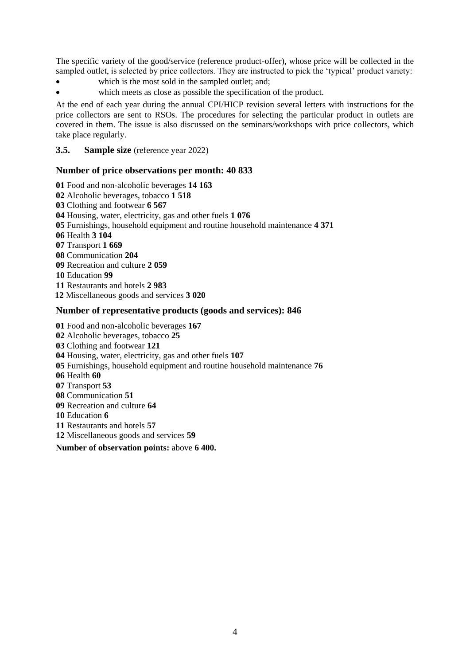The specific variety of the good/service (reference product-offer), whose price will be collected in the sampled outlet, is selected by price collectors. They are instructed to pick the 'typical' product variety:

- which is the most sold in the sampled outlet; and;
- which meets as close as possible the specification of the product.

At the end of each year during the annual CPI/HICP revision several letters with instructions for the price collectors are sent to RSOs. The procedures for selecting the particular product in outlets are covered in them. The issue is also discussed on the seminars/workshops with price collectors, which take place regularly.

#### **3.5. Sample size** (reference year 2022)

#### **Number of price observations per month: 40 833**

Food and non-alcoholic beverages **14 163** Alcoholic beverages, tobacco **1 518** Clothing and footwear **6 567** Housing, water, electricity, gas and other fuels **1 076** Furnishings, household equipment and routine household maintenance **4 371** Health **3 104** Transport **1 669** Communication **204** Recreation and culture **2 059** Education **99** Restaurants and hotels **2 983** Miscellaneous goods and services **3 020**

#### **Number of representative products (goods and services): 846**

Food and non-alcoholic beverages **167** Alcoholic beverages, tobacco **25** Clothing and footwear **121** Housing, water, electricity, gas and other fuels **107** Furnishings, household equipment and routine household maintenance **76** Health **60** Transport **53** Communication **51** Recreation and culture **64** Education **6** Restaurants and hotels **57** Miscellaneous goods and services **59**

**Number of observation points:** above **6 400.**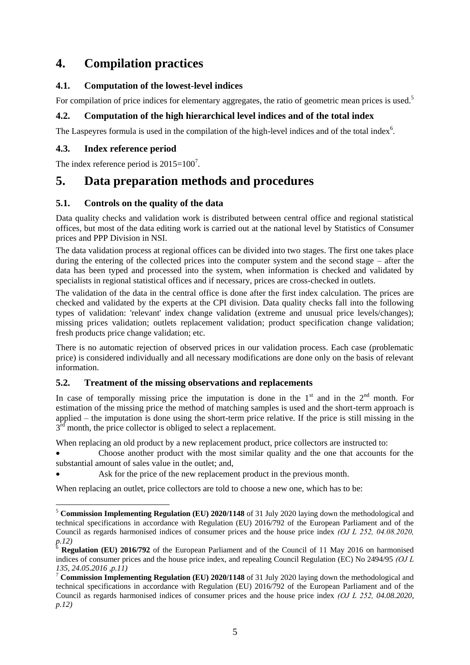# **4. Compilation practices**

# **4.1. Computation of the lowest-level indices**

For compilation of price indices for elementary aggregates, the ratio of geometric mean prices is used.<sup>5</sup>

# **4.2. Computation of the high hierarchical level indices and of the total index**

The Laspeyres formula is used in the compilation of the high-level indices and of the total index $6$ .

# **4.3. Index reference period**

1

The index reference period is  $2015=100^7$ .

# **5. Data preparation methods and procedures**

## **5.1. Controls on the quality of the data**

Data quality checks and validation work is distributed between central office and regional statistical offices, but most of the data editing work is carried out at the national level by Statistics of Consumer prices and PPP Division in NSI.

The data validation process at regional offices can be divided into two stages. The first one takes place during the entering of the collected prices into the computer system and the second stage – after the data has been typed and processed into the system, when information is checked and validated by specialists in regional statistical offices and if necessary, prices are cross-checked in outlets.

The validation of the data in the central office is done after the first index calculation. The prices are checked and validated by the experts at the CPI division. Data quality checks fall into the following types of validation: 'relevant' index change validation (extreme and unusual price levels/changes); missing prices validation; outlets replacement validation; product specification change validation; fresh products price change validation; etc.

There is no automatic rejection of observed prices in our validation process. Each case (problematic price) is considered individually and all necessary modifications are done only on the basis of relevant information.

## **5.2. Treatment of the missing observations and replacements**

In case of temporally missing price the imputation is done in the  $1<sup>st</sup>$  and in the  $2<sup>nd</sup>$  month. For estimation of the missing price the method of matching samples is used and the short-term approach is applied – the imputation is done using the short-term price relative. If the price is still missing in the  $3<sup>rd</sup>$  month, the price collector is obliged to select a replacement.

When replacing an old product by a new replacement product, price collectors are instructed to:

 Choose another product with the most similar quality and the one that accounts for the substantial amount of sales value in the outlet; and,

Ask for the price of the new replacement product in the previous month.

When replacing an outlet, price collectors are told to choose a new one, which has to be:

<sup>5</sup> **Commission Implementing Regulation (EU) 2020/1148** of 31 July 2020 laying down the methodological and technical specifications in accordance with Regulation (EU) 2016/792 of the European Parliament and of the Council as regards harmonised indices of consumer prices and the house price index *(ОJ L 252, 04.08.2020, p.12)*

<sup>6</sup> **Regulation (EU) 2016/792** of the European Parliament and of the Council of 11 May 2016 on harmonised indices of consumer prices and the house price index, and repealing Council Regulation (EC) No 2494/95 *(ОJ L 135, 24.05.2016 ,p.11)*

<sup>7</sup> **Commission Implementing Regulation (EU) 2020/1148** of 31 July 2020 laying down the methodological and technical specifications in accordance with Regulation (EU) 2016/792 of the European Parliament and of the Council as regards harmonised indices of consumer prices and the house price index *(ОJ L 252, 04.08.2020, p.12)*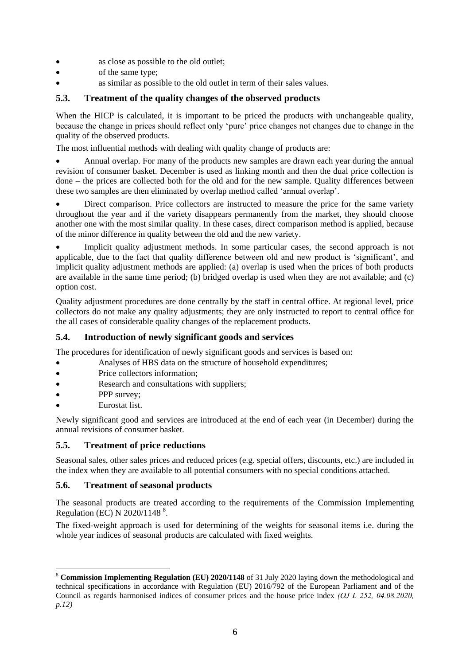- as close as possible to the old outlet;
- of the same type;
- as similar as possible to the old outlet in term of their sales values.

#### **5.3. Treatment of the quality changes of the observed products**

When the HICP is calculated, it is important to be priced the products with unchangeable quality, because the change in prices should reflect only 'pure' price changes not changes due to change in the quality of the observed products.

The most influential methods with dealing with quality change of products are:

 Annual overlap. For many of the products new samples are drawn each year during the annual revision of consumer basket. December is used as linking month and then the dual price collection is done – the prices are collected both for the old and for the new sample. Quality differences between these two samples are then eliminated by overlap method called 'annual overlap'.

 Direct comparison. Price collectors are instructed to measure the price for the same variety throughout the year and if the variety disappears permanently from the market, they should choose another one with the most similar quality. In these cases, direct comparison method is applied, because of the minor difference in quality between the old and the new variety.

 Implicit quality adjustment methods. In some particular cases, the second approach is not applicable, due to the fact that quality difference between old and new product is 'significant', and implicit quality adjustment methods are applied: (a) overlap is used when the prices of both products are available in the same time period; (b) bridged overlap is used when they are not available; and (c) option cost.

Quality adjustment procedures are done centrally by the staff in central office. At regional level, price collectors do not make any quality adjustments; they are only instructed to report to central office for the all cases of considerable quality changes of the replacement products.

### **5.4. Introduction of newly significant goods and services**

The procedures for identification of newly significant goods and services is based on:

- Analyses of HBS data on the structure of household expenditures;
- Price collectors information:
- Research and consultations with suppliers;
- PPP survey:
- Eurostat list.

<u>.</u>

Newly significant good and services are introduced at the end of each year (in December) during the annual revisions of consumer basket.

### **5.5. Treatment of price reductions**

Seasonal sales, other sales prices and reduced prices (e.g. special offers, discounts, etc.) are included in the index when they are available to all potential consumers with no special conditions attached.

### **5.6. Treatment of seasonal products**

The seasonal products are treated according to the requirements of the Commission Implementing Regulation (EC) N  $2020/1148$ <sup>8</sup>.

The fixed-weight approach is used for determining of the weights for seasonal items i.e. during the whole year indices of seasonal products are calculated with fixed weights.

<sup>8</sup> **Commission Implementing Regulation (EU) 2020/1148** of 31 July 2020 laying down the methodological and technical specifications in accordance with Regulation (EU) 2016/792 of the European Parliament and of the Council as regards harmonised indices of consumer prices and the house price index *(ОJ L 252, 04.08.2020, p.12)*